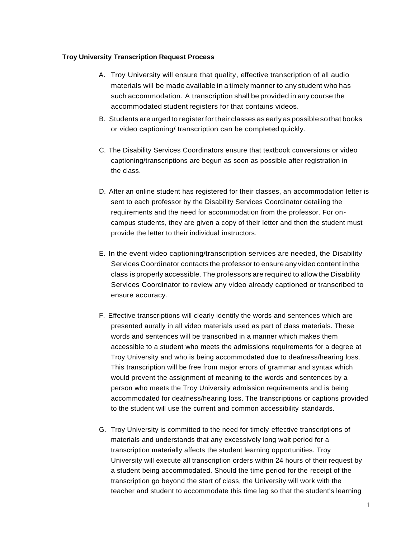## **Troy University Transcription Request Process**

- A. Troy University will ensure that quality, effective transcription of all audio materials will be made available in a timely manner to any student who has such accommodation. A transcription shall be provided in any course the accommodated student registers for that contains videos.
- B. Students are urged to register for their classes as early as possible so that books or video captioning/ transcription can be completedquickly.
- C. The Disability Services Coordinators ensure that textbook conversions or video captioning/transcriptions are begun as soon as possible after registration in the class.
- D. After an online student has registered for their classes, an accommodation letter is sent to each professor by the Disability Services Coordinator detailing the requirements and the need for accommodation from the professor. For oncampus students, they are given a copy of their letter and then the student must provide the letter to their individual instructors.
- E. In the event video captioning/transcription services are needed, the Disability Services Coordinator contacts the professor to ensure any video content in the class is properly accessible. The professors are required to allow the Disability Services Coordinator to review any video already captioned or transcribed to ensure accuracy.
- F. Effective transcriptions will clearly identify the words and sentences which are presented aurally in all video materials used as part of class materials. These words and sentences will be transcribed in a manner which makes them accessible to a student who meets the admissions requirements for a degree at Troy University and who is being accommodated due to deafness/hearing loss. This transcription will be free from major errors of grammar and syntax which would prevent the assignment of meaning to the words and sentences by a person who meets the Troy University admission requirements and is being accommodated for deafness/hearing loss. The transcriptions or captions provided to the student will use the current and common accessibility standards.
- G. Troy University is committed to the need for timely effective transcriptions of materials and understands that any excessively long wait period for a transcription materially affects the student learning opportunities. Troy University will execute all transcription orders within 24 hours of their request by a student being accommodated. Should the time period for the receipt of the transcription go beyond the start of class, the University will work with the teacher and student to accommodate this time lag so that the student's learning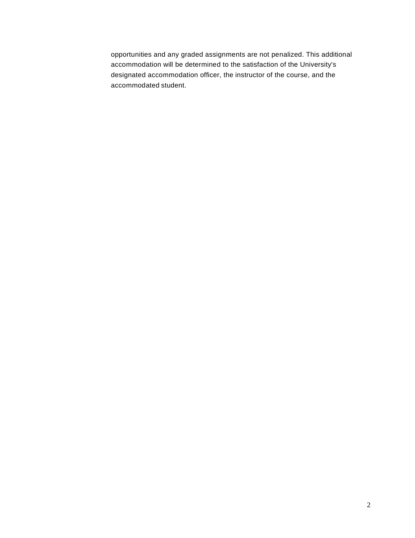opportunities and any graded assignments are not penalized. This additional accommodation will be determined to the satisfaction of the University's designated accommodation officer, the instructor of the course, and the accommodated student.